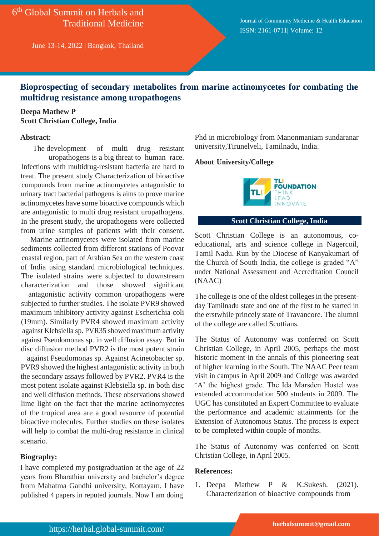6 th Global Summit on Herbals and Traditional Medicine

June 13-14, 2022 | Bangkok, Thailand

Journal of Community Medicine & Health Education ISSN: 2161-0711| Volume: 12

## **Bioprospecting of secondary metabolites from marine actinomycetes for combating the multidrug resistance among uropathogens**

## **Deepa Mathew P Scott Christian College, India**

### **Abstract:**

The development of multi drug resistant uropathogens is a big threat to human race. Infections with multidrug-resistant bacteria are hard to treat. The present study Characterization of bioactive compounds from marine actinomycetes antagonistic to urinary tract bacterial pathogens is aims to prove marine actinomycetes have some bioactive compounds which are antagonistic to multi drug resistant uropathogens. In the present study, the uropathogens were collected from urine samples of patients with their consent.

Marine actinomycetes were isolated from marine sediments collected from different stations of Poovar coastal region, part of Arabian Sea on the western coast of India using standard microbiological techniques. The isolated strains were subjected to downstream characterization and those showed significant

antagonistic activity common uropathogens were subjected to further studies. The isolate PVR9 showed maximum inhibitory activity against Escherichia coli (19mm). Similarly PVR4 showed maximum activity against Klebsiella sp. PVR35 showed maximum activity against Pseudomonas sp. in well diffusion assay. But in disc diffusion method PVR2 is the most potent strain

against Pseudomonas sp. Against Acinetobacter sp. PVR9 showed the highest antagonistic activity in both the secondary assays followed by PVR2. PVR4 is the most potent isolate against Klebsiella sp. in both disc and well diffusion methods. These observations showed lime light on the fact that the marine actinomycetes of the tropical area are a good resource of potential bioactive molecules. Further studies on these isolates will help to combat the multi-drug resistance in clinical scenario.

## **Biography:**

I have completed my postgraduation at the age of 22 years from Bharathiar university and bachelor's degree from Mahatma Gandhi university, Kottayam. I have published 4 papers in reputed journals. Now I am doing

Phd in microbiology from Manonmaniam sundaranar university,Tirunelveli, Tamilnadu, India.

#### **About University/College**



## **Scott Christian College, India**

Scott Christian College is an autonomous, coeducational, arts and science college in Nagercoil, Tamil Nadu. Run by the Diocese of Kanyakumari of the Church of South India, the college is graded "A" under National Assessment and Accreditation Council (NAAC)

The college is one of the oldest colleges in the presentday Tamilnadu state and one of the first to be started in the erstwhile princely state of Travancore. The alumni of the college are called Scottians.

The Status of Autonomy was conferred on Scott Christian College, in April 2005, perhaps the most historic moment in the annals of this pioneering seat of higher learning in the South. The NAAC Peer team visit in campus in April 2009 and College was awarded 'A' the highest grade. The Ida Marsden Hostel was extended accommodation 500 students in 2009. The UGC has constituted an Expert Committee to evaluate the performance and academic attainments for the Extension of Autonomous Status. The process is expect to be completed within couple of months.

The Status of Autonomy was conferred on Scott Christian College, in April 2005.

### **References:**

1. Deepa Mathew P & K.Sukesh. (2021). Characterization of bioactive compounds from